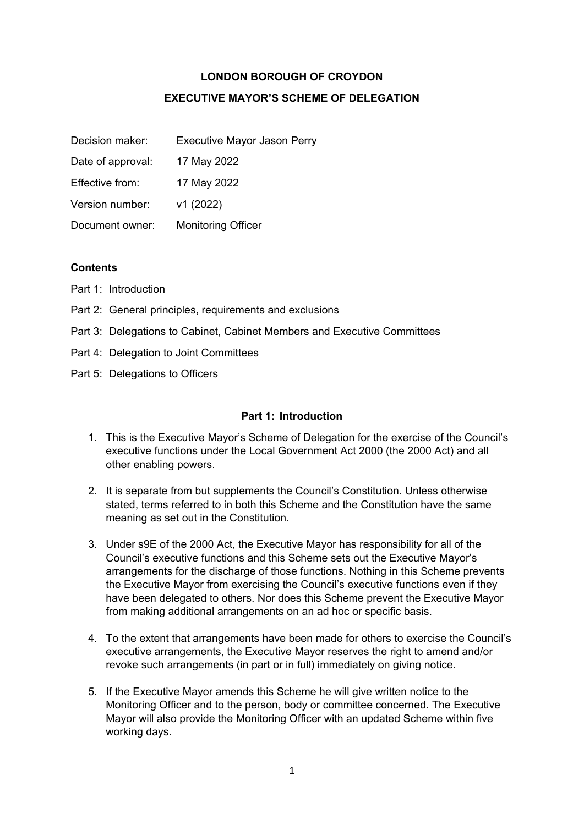### **LONDON BOROUGH OF CROYDON**

## **EXECUTIVE MAYOR'S SCHEME OF DELEGATION**

| Decision maker:   | <b>Executive Mayor Jason Perry</b> |
|-------------------|------------------------------------|
| Date of approval: | 17 May 2022                        |
| Effective from:   | 17 May 2022                        |
| Version number:   | v1 (2022)                          |
| Document owner:   | <b>Monitoring Officer</b>          |

#### **Contents**

- Part 1: Introduction
- Part 2: General principles, requirements and exclusions
- Part 3: Delegations to Cabinet, Cabinet Members and Executive Committees
- Part 4: Delegation to Joint Committees
- Part 5: Delegations to Officers

#### **Part 1: Introduction**

- 1. This is the Executive Mayor's Scheme of Delegation for the exercise of the Council's executive functions under the Local Government Act 2000 (the 2000 Act) and all other enabling powers.
- 2. It is separate from but supplements the Council's Constitution. Unless otherwise stated, terms referred to in both this Scheme and the Constitution have the same meaning as set out in the Constitution.
- 3. Under s9E of the 2000 Act, the Executive Mayor has responsibility for all of the Council's executive functions and this Scheme sets out the Executive Mayor's arrangements for the discharge of those functions. Nothing in this Scheme prevents the Executive Mayor from exercising the Council's executive functions even if they have been delegated to others. Nor does this Scheme prevent the Executive Mayor from making additional arrangements on an ad hoc or specific basis.
- 4. To the extent that arrangements have been made for others to exercise the Council's executive arrangements, the Executive Mayor reserves the right to amend and/or revoke such arrangements (in part or in full) immediately on giving notice.
- 5. If the Executive Mayor amends this Scheme he will give written notice to the Monitoring Officer and to the person, body or committee concerned. The Executive Mayor will also provide the Monitoring Officer with an updated Scheme within five working days.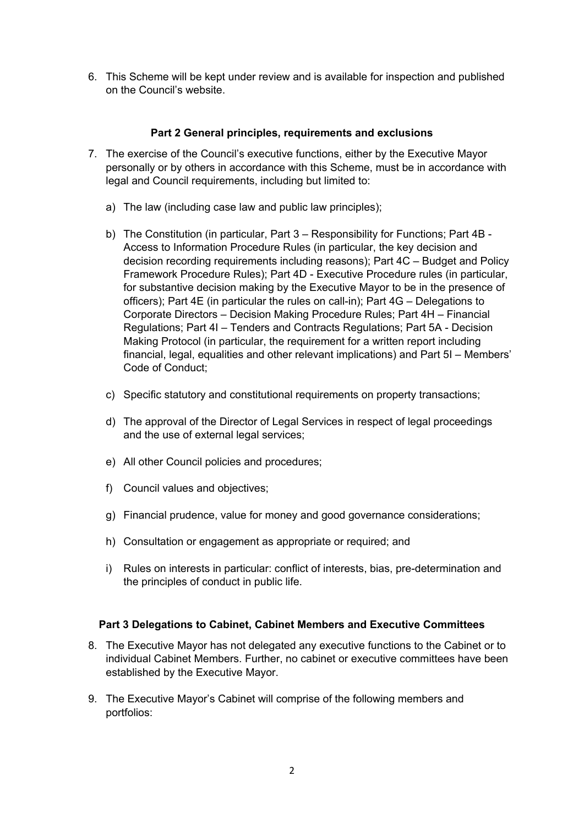6. This Scheme will be kept under review and is available for inspection and published on the Council's website.

#### **Part 2 General principles, requirements and exclusions**

- 7. The exercise of the Council's executive functions, either by the Executive Mayor personally or by others in accordance with this Scheme, must be in accordance with legal and Council requirements, including but limited to:
	- a) The law (including case law and public law principles);
	- b) The Constitution (in particular, Part 3 Responsibility for Functions; Part 4B Access to Information Procedure Rules (in particular, the key decision and decision recording requirements including reasons); Part 4C – Budget and Policy Framework Procedure Rules); Part 4D - Executive Procedure rules (in particular, for substantive decision making by the Executive Mayor to be in the presence of officers); Part 4E (in particular the rules on call-in); Part 4G – Delegations to Corporate Directors – Decision Making Procedure Rules; Part 4H – Financial Regulations; Part 4I – Tenders and Contracts Regulations; Part 5A - Decision Making Protocol (in particular, the requirement for a written report including financial, legal, equalities and other relevant implications) and Part 5I – Members' Code of Conduct;
	- c) Specific statutory and constitutional requirements on property transactions;
	- d) The approval of the Director of Legal Services in respect of legal proceedings and the use of external legal services;
	- e) All other Council policies and procedures;
	- f) Council values and objectives;
	- g) Financial prudence, value for money and good governance considerations;
	- h) Consultation or engagement as appropriate or required; and
	- i) Rules on interests in particular: conflict of interests, bias, pre-determination and the principles of conduct in public life.

# **Part 3 Delegations to Cabinet, Cabinet Members and Executive Committees**

- 8. The Executive Mayor has not delegated any executive functions to the Cabinet or to individual Cabinet Members. Further, no cabinet or executive committees have been established by the Executive Mayor.
- 9. The Executive Mayor's Cabinet will comprise of the following members and portfolios: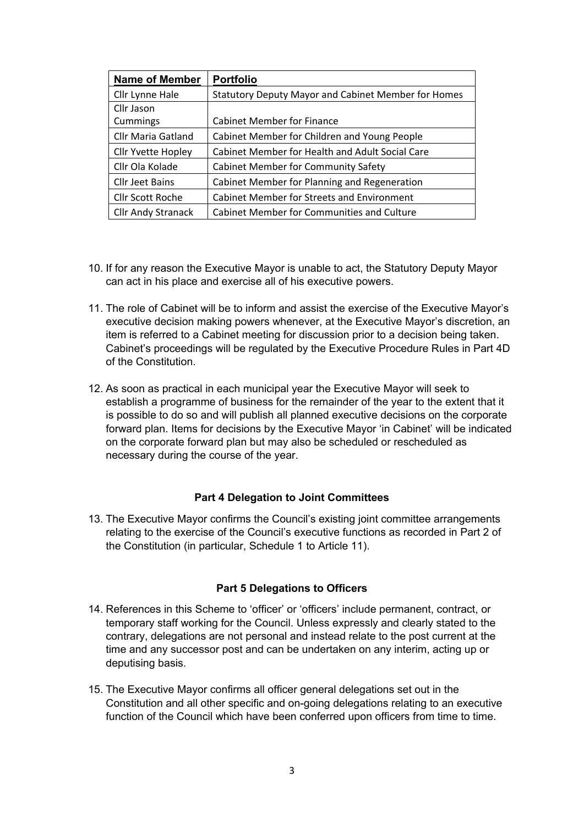| <b>Name of Member</b>     | <b>Portfolio</b>                                           |
|---------------------------|------------------------------------------------------------|
| Cllr Lynne Hale           | <b>Statutory Deputy Mayor and Cabinet Member for Homes</b> |
| Cllr Jason                |                                                            |
| Cummings                  | <b>Cabinet Member for Finance</b>                          |
| <b>Cllr Maria Gatland</b> | Cabinet Member for Children and Young People               |
| <b>Cllr Yvette Hopley</b> | Cabinet Member for Health and Adult Social Care            |
| Cllr Ola Kolade           | <b>Cabinet Member for Community Safety</b>                 |
| <b>Cllr Jeet Bains</b>    | Cabinet Member for Planning and Regeneration               |
| <b>Cllr Scott Roche</b>   | <b>Cabinet Member for Streets and Environment</b>          |
| <b>Cllr Andy Stranack</b> | <b>Cabinet Member for Communities and Culture</b>          |

- 10. If for any reason the Executive Mayor is unable to act, the Statutory Deputy Mayor can act in his place and exercise all of his executive powers.
- 11. The role of Cabinet will be to inform and assist the exercise of the Executive Mayor's executive decision making powers whenever, at the Executive Mayor's discretion, an item is referred to a Cabinet meeting for discussion prior to a decision being taken. Cabinet's proceedings will be regulated by the Executive Procedure Rules in Part 4D of the Constitution.
- 12. As soon as practical in each municipal year the Executive Mayor will seek to establish a programme of business for the remainder of the year to the extent that it is possible to do so and will publish all planned executive decisions on the corporate forward plan. Items for decisions by the Executive Mayor 'in Cabinet' will be indicated on the corporate forward plan but may also be scheduled or rescheduled as necessary during the course of the year.

#### **Part 4 Delegation to Joint Committees**

13. The Executive Mayor confirms the Council's existing joint committee arrangements relating to the exercise of the Council's executive functions as recorded in Part 2 of the Constitution (in particular, Schedule 1 to Article 11).

#### **Part 5 Delegations to Officers**

- 14. References in this Scheme to 'officer' or 'officers' include permanent, contract, or temporary staff working for the Council. Unless expressly and clearly stated to the contrary, delegations are not personal and instead relate to the post current at the time and any successor post and can be undertaken on any interim, acting up or deputising basis.
- 15. The Executive Mayor confirms all officer general delegations set out in the Constitution and all other specific and on-going delegations relating to an executive function of the Council which have been conferred upon officers from time to time.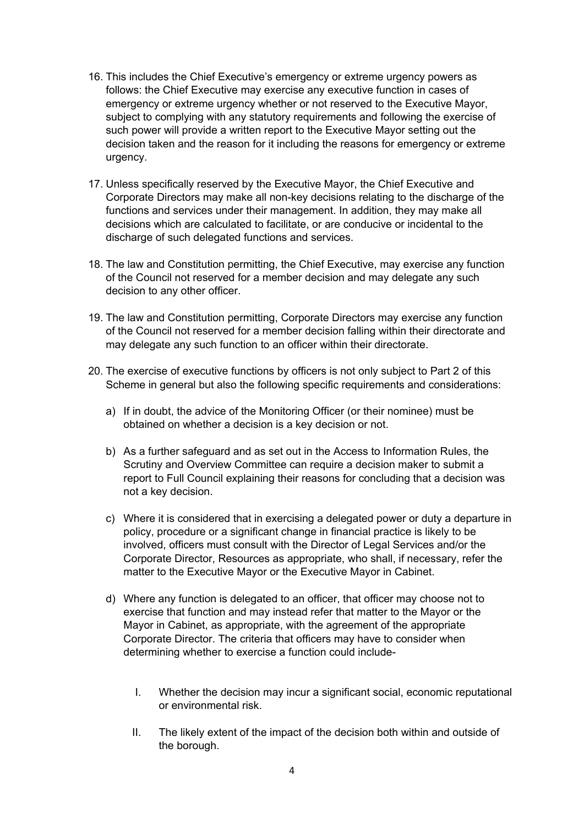- 16. This includes the Chief Executive's emergency or extreme urgency powers as follows: the Chief Executive may exercise any executive function in cases of emergency or extreme urgency whether or not reserved to the Executive Mayor, subject to complying with any statutory requirements and following the exercise of such power will provide a written report to the Executive Mayor setting out the decision taken and the reason for it including the reasons for emergency or extreme urgency.
- 17. Unless specifically reserved by the Executive Mayor, the Chief Executive and Corporate Directors may make all non-key decisions relating to the discharge of the functions and services under their management. In addition, they may make all decisions which are calculated to facilitate, or are conducive or incidental to the discharge of such delegated functions and services.
- 18. The law and Constitution permitting, the Chief Executive, may exercise any function of the Council not reserved for a member decision and may delegate any such decision to any other officer.
- 19. The law and Constitution permitting, Corporate Directors may exercise any function of the Council not reserved for a member decision falling within their directorate and may delegate any such function to an officer within their directorate.
- 20. The exercise of executive functions by officers is not only subject to Part 2 of this Scheme in general but also the following specific requirements and considerations:
	- a) If in doubt, the advice of the Monitoring Officer (or their nominee) must be obtained on whether a decision is a key decision or not.
	- b) As a further safeguard and as set out in the Access to Information Rules, the Scrutiny and Overview Committee can require a decision maker to submit a report to Full Council explaining their reasons for concluding that a decision was not a key decision.
	- c) Where it is considered that in exercising a delegated power or duty a departure in policy, procedure or a significant change in financial practice is likely to be involved, officers must consult with the Director of Legal Services and/or the Corporate Director, Resources as appropriate, who shall, if necessary, refer the matter to the Executive Mayor or the Executive Mayor in Cabinet.
	- d) Where any function is delegated to an officer, that officer may choose not to exercise that function and may instead refer that matter to the Mayor or the Mayor in Cabinet, as appropriate, with the agreement of the appropriate Corporate Director. The criteria that officers may have to consider when determining whether to exercise a function could include-
		- I. Whether the decision may incur a significant social, economic reputational or environmental risk.
		- II. The likely extent of the impact of the decision both within and outside of the borough.